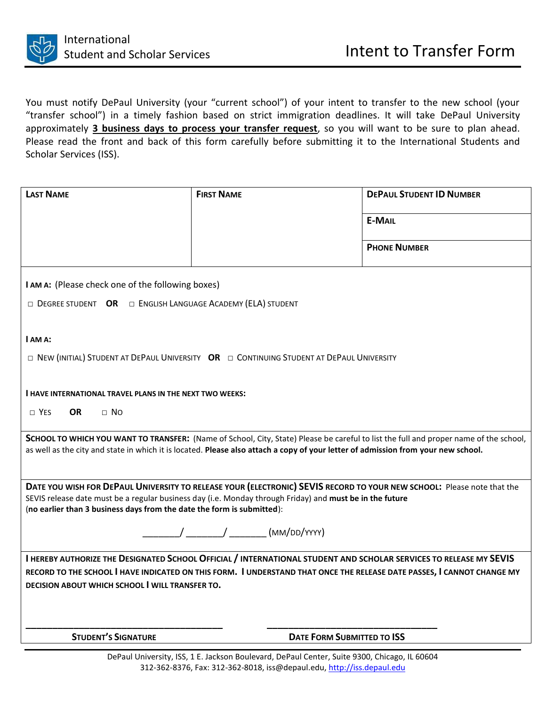

You must notify DePaul University (your "current school") of your intent to transfer to the new school (your "transfer school") in a timely fashion based on strict immigration deadlines. It will take DePaul University approximately **3 business days to process your transfer request**, so you will want to be sure to plan ahead. Please read the front and back of this form carefully before submitting it to the International Students and Scholar Services (ISS).

| <b>LAST NAME</b>                                                                                                                                                                                                                                                           | <b>FIRST NAME</b>                 | <b>DEPAUL STUDENT ID NUMBER</b> |
|----------------------------------------------------------------------------------------------------------------------------------------------------------------------------------------------------------------------------------------------------------------------------|-----------------------------------|---------------------------------|
|                                                                                                                                                                                                                                                                            |                                   | <b>E-MAIL</b>                   |
|                                                                                                                                                                                                                                                                            |                                   | <b>PHONE NUMBER</b>             |
| I AM A: (Please check one of the following boxes)                                                                                                                                                                                                                          |                                   |                                 |
| $\Box$ DEGREE STUDENT OR $\Box$ ENGLISH LANGUAGE ACADEMY (ELA) STUDENT                                                                                                                                                                                                     |                                   |                                 |
| I AM A:                                                                                                                                                                                                                                                                    |                                   |                                 |
| $\Box$ New (INITIAL) STUDENT AT DEPAUL UNIVERSITY OR $\Box$ CONTINUING STUDENT AT DEPAUL UNIVERSITY                                                                                                                                                                        |                                   |                                 |
| <b>I HAVE INTERNATIONAL TRAVEL PLANS IN THE NEXT TWO WEEKS:</b>                                                                                                                                                                                                            |                                   |                                 |
| $\Box$ YES<br><b>OR</b><br>$\Box$ No                                                                                                                                                                                                                                       |                                   |                                 |
|                                                                                                                                                                                                                                                                            |                                   |                                 |
| SCHOOL TO WHICH YOU WANT TO TRANSFER: (Name of School, City, State) Please be careful to list the full and proper name of the school,<br>as well as the city and state in which it is located. Please also attach a copy of your letter of admission from your new school. |                                   |                                 |
|                                                                                                                                                                                                                                                                            |                                   |                                 |
| DATE YOU WISH FOR DEPAUL UNIVERSITY TO RELEASE YOUR (ELECTRONIC) SEVIS RECORD TO YOUR NEW SCHOOL: Please note that the<br>SEVIS release date must be a regular business day (i.e. Monday through Friday) and must be in the future                                         |                                   |                                 |
| (no earlier than 3 business days from the date the form is submitted):                                                                                                                                                                                                     |                                   |                                 |
| / _______/ _______ (MM/DD/YYYY)                                                                                                                                                                                                                                            |                                   |                                 |
| I HEREBY AUTHORIZE THE DESIGNATED SCHOOL OFFICIAL / INTERNATIONAL STUDENT AND SCHOLAR SERVICES TO RELEASE MY SEVIS                                                                                                                                                         |                                   |                                 |
| RECORD TO THE SCHOOL I HAVE INDICATED ON THIS FORM. I UNDERSTAND THAT ONCE THE RELEASE DATE PASSES, I CANNOT CHANGE MY                                                                                                                                                     |                                   |                                 |
| <b>DECISION ABOUT WHICH SCHOOL I WILL TRANSFER TO.</b>                                                                                                                                                                                                                     |                                   |                                 |
|                                                                                                                                                                                                                                                                            |                                   |                                 |
| <b>STUDENT'S SIGNATURE</b>                                                                                                                                                                                                                                                 | <b>DATE FORM SUBMITTED TO ISS</b> |                                 |